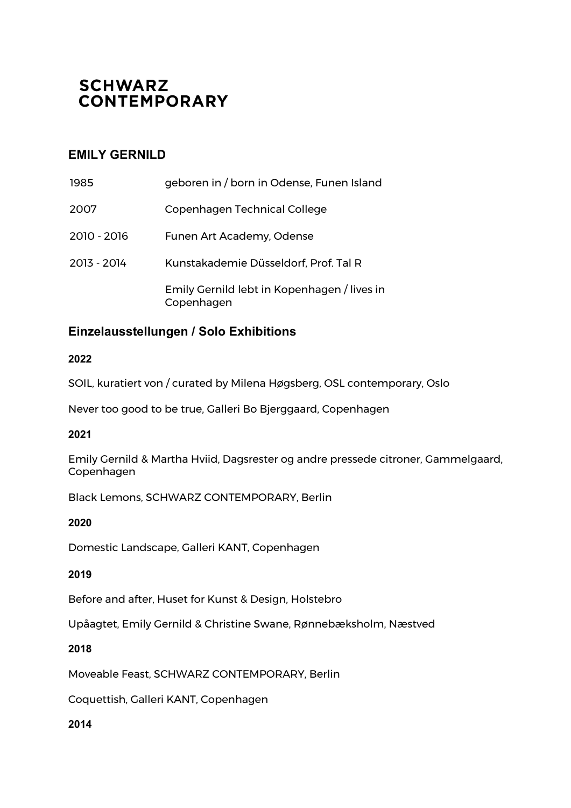# **SCHWARZ CONTEMPORARY**

## **EMILY GERNILD**

| 1985        | geboren in / born in Odense, Funen Island                 |
|-------------|-----------------------------------------------------------|
| 2007        | Copenhagen Technical College                              |
| 2010 - 2016 | Funen Art Academy, Odense                                 |
| 2013 - 2014 | Kunstakademie Düsseldorf, Prof. Tal R                     |
|             | Emily Gernild lebt in Kopenhagen / lives in<br>Copenhagen |

## **Einzelausstellungen / Solo Exhibitions**

### **2022**

SOIL, kuratiert von / curated by Milena Høgsberg, OSL contemporary, Oslo

Never too good to be true, Galleri Bo Bjerggaard, Copenhagen

### **2021**

Emily Gernild & Martha Hviid, Dagsrester og andre pressede citroner, Gammelgaard, Copenhagen

Black Lemons, SCHWARZ CONTEMPORARY, Berlin

## **2020**

Domestic Landscape, Galleri KANT, Copenhagen

## **2019**

Before and after, Huset for Kunst & Design, Holstebro

Upåagtet, Emily Gernild & Christine Swane, Rønnebæksholm, Næstved

### **2018**

Moveable Feast, SCHWARZ CONTEMPORARY, Berlin

Coquettish, Galleri KANT, Copenhagen

### **2014**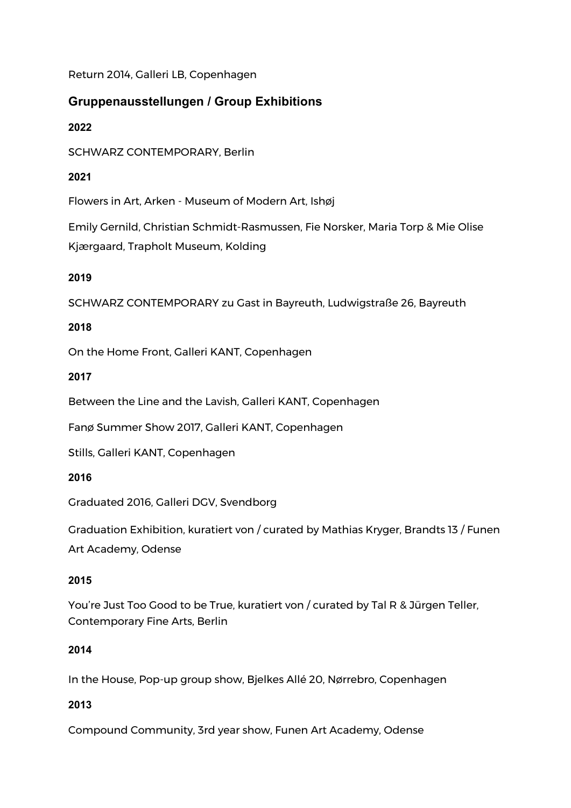Return 2014, Galleri LB, Copenhagen

## **Gruppenausstellungen / Group Exhibitions**

## **2022**

SCHWARZ CONTEMPORARY, Berlin

## **2021**

Flowers in Art, Arken - Museum of Modern Art, Ishøj

Emily Gernild, Christian Schmidt-Rasmussen, Fie Norsker, Maria Torp & Mie Olise Kjærgaard, Trapholt Museum, Kolding

### **2019**

SCHWARZ CONTEMPORARY zu Gast in Bayreuth, Ludwigstraße 26, Bayreuth

### **2018**

On the Home Front, Galleri KANT, Copenhagen

### **2017**

Between the Line and the Lavish, Galleri KANT, Copenhagen

Fanø Summer Show 2017, Galleri KANT, Copenhagen

Stills, Galleri KANT, Copenhagen

### **2016**

Graduated 2016, Galleri DGV, Svendborg

Graduation Exhibition, kuratiert von / curated by Mathias Kryger, Brandts 13 / Funen Art Academy, Odense

### **2015**

You're Just Too Good to be True, kuratiert von / curated by Tal R & Jürgen Teller, Contemporary Fine Arts, Berlin

### **2014**

In the House, Pop-up group show, Bjelkes Allé 20, Nørrebro, Copenhagen

## **2013**

Compound Community, 3rd year show, Funen Art Academy, Odense